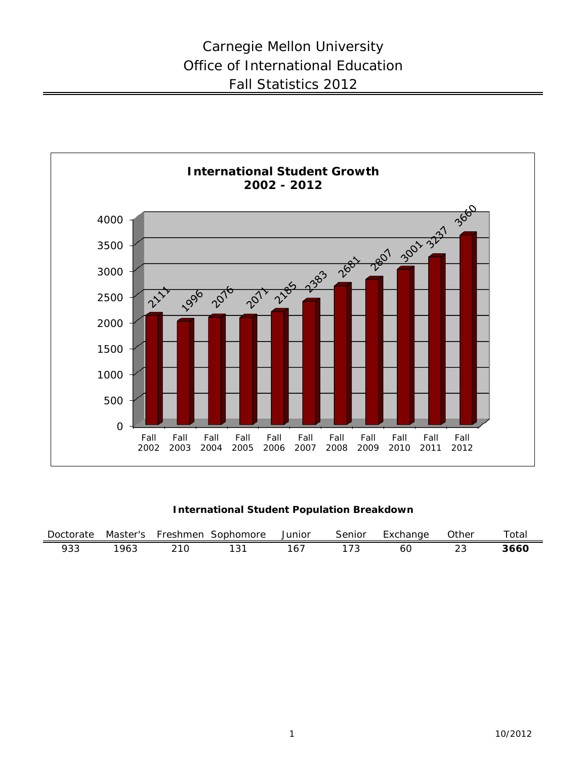

**International Student Population Breakdown**

| Doctorate | Master's | Freshmen | Sophomore | Junior | Senior | :xchange | <b>Other</b> | $\tau$ otai |
|-----------|----------|----------|-----------|--------|--------|----------|--------------|-------------|
| 933       | '963     |          | 13.       | 6.     |        | 60       |              | 366C        |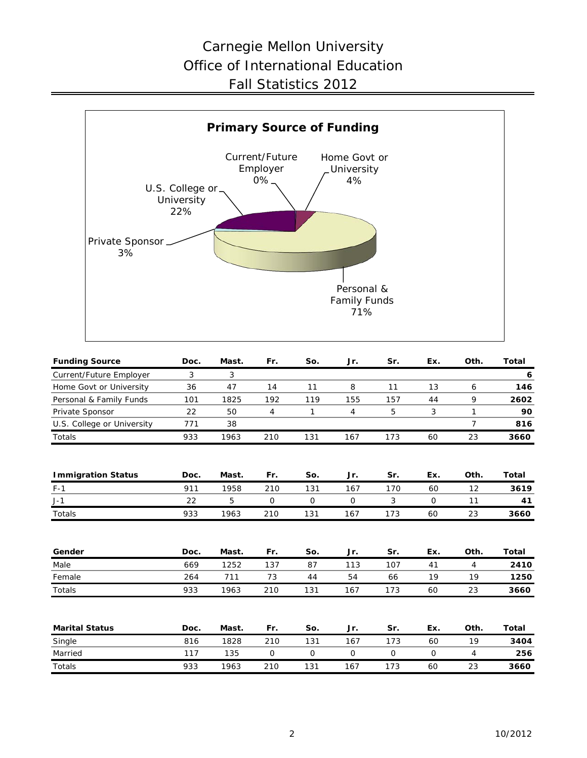# Carnegie Mellon University Office of International Education Fall Statistics 2012



| <b>Funding Source</b>      | Doc. | Mast. | Fr.          | So.         | Jr.         | Sr.         | Ex.         | Oth.           | <b>Total</b> |
|----------------------------|------|-------|--------------|-------------|-------------|-------------|-------------|----------------|--------------|
| Current/Future Employer    | 3    | 3     |              |             |             |             |             |                | 6            |
| Home Govt or University    | 36   | 47    | 14           | 11          | 8           | 11          | 13          | 6              | 146          |
| Personal & Family Funds    | 101  | 1825  | 192          | 119         | 155         | 157         | 44          | 9              | 2602         |
| Private Sponsor            | 22   | 50    | 4            | 1           | 4           | 5           | 3           | $\mathbf{1}$   | 90           |
| U.S. College or University | 771  | 38    |              |             |             |             |             | $\overline{7}$ | 816          |
| Totals                     | 933  | 1963  | 210          | 131         | 167         | 173         | 60          | 23             | 3660         |
| <b>Immigration Status</b>  | Doc. | Mast. | Fr.          | So.         | Jr.         | Sr.         | Ex.         | Oth.           | Total        |
| $F-1$                      | 911  | 1958  | 210          | 131         | 167         | 170         | 60          | 12             | 3619         |
| $J-1$                      | 22   | 5     | $\mathsf{O}$ | $\mathbf 0$ | 0           | 3           | $\mathbf 0$ | 11             | 41           |
| <b>Totals</b>              | 933  | 1963  | 210          | 131         | 167         | 173         | 60          | 23             | 3660         |
| Gender                     | Doc. | Mast. | Fr.          | So.         | Jr.         | Sr.         | Ex.         | Oth.           | Total        |
| Male                       | 669  | 1252  | 137          | 87          | 113         | 107         | 41          | $\overline{4}$ | 2410         |
| Female                     | 264  | 711   | 73           | 44          | 54          | 66          | 19          | 19             | 1250         |
| Totals                     | 933  | 1963  | 210          | 131         | 167         | 173         | 60          | 23             | 3660         |
| <b>Marital Status</b>      | Doc. | Mast. | Fr.          | So.         | Jr.         | Sr.         | Ex.         | Oth.           | Total        |
| Single                     | 816  | 1828  | 210          | 131         | 167         | 173         | 60          | 19             | 3404         |
| Married                    | 117  | 135   | 0            | 0           | $\mathbf 0$ | $\mathbf 0$ | $\mathbf 0$ | $\overline{4}$ | 256          |
| <b>Totals</b>              | 933  | 1963  | 210          | 131         | 167         | 173         | 60          | 23             | 3660         |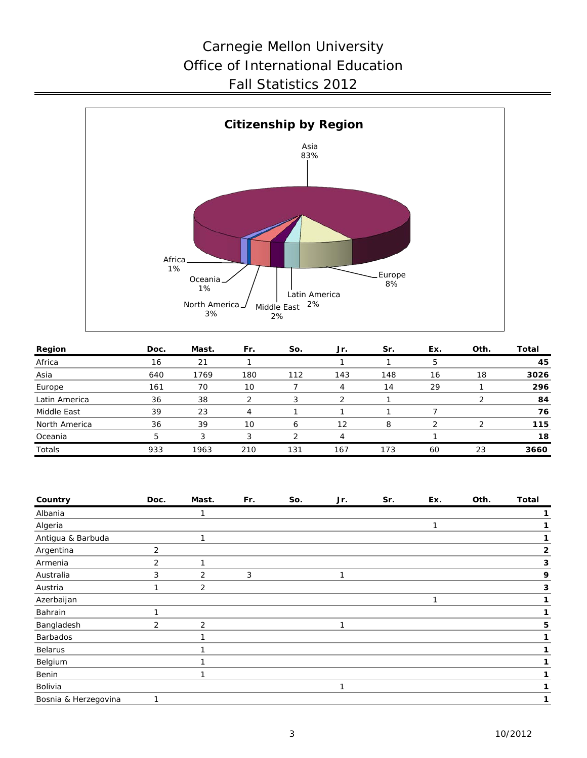# Carnegie Mellon University Office of International Education Fall Statistics 2012



| Region        | Doc. | Mast. | Fr. | So. | Jr. | Sr. | Ex. | Oth. | Total |
|---------------|------|-------|-----|-----|-----|-----|-----|------|-------|
| Africa        | 16   | 21    |     |     |     |     |     |      | 45    |
| Asia          | 640  | 1769  | 180 | 112 | 143 | 148 | 16  | 18   | 3026  |
| Europe        | 161  | 70    | 10  |     | 4   | 14  | 29  |      | 296   |
| Latin America | 36   | 38    |     |     |     |     |     |      | 84    |
| Middle East   | 39   | 23    |     |     |     |     |     |      | 76    |
| North America | 36   | 39    | 10  | 6   | 12  | 8   |     |      | 115   |
| Oceania       | 5    | 3     | 3   |     | 4   |     |     |      | 18    |
| Totals        | 933  | 1963  | 210 | 131 | 167 | 173 | 60  | 23   | 3660  |

| Country              | Doc. | Mast. | Fr. | So. | Jr. | Sr. | Ex. | Oth. | <b>Total</b> |
|----------------------|------|-------|-----|-----|-----|-----|-----|------|--------------|
| Albania              |      |       |     |     |     |     |     |      |              |
| Algeria              |      |       |     |     |     |     | 1   |      |              |
| Antigua & Barbuda    |      | 1     |     |     |     |     |     |      | 1            |
| Argentina            | 2    |       |     |     |     |     |     |      | $\mathbf{2}$ |
| Armenia              | 2    | 1     |     |     |     |     |     |      | 3            |
| Australia            | 3    | 2     | 3   |     | 1   |     |     |      | 9            |
| Austria              | 1    | 2     |     |     |     |     |     |      | 3            |
| Azerbaijan           |      |       |     |     |     |     | 1   |      | 1            |
| Bahrain              | 1    |       |     |     |     |     |     |      |              |
| Bangladesh           | 2    | 2     |     |     | 1   |     |     |      | 5            |
| Barbados             |      |       |     |     |     |     |     |      |              |
| Belarus              |      |       |     |     |     |     |     |      |              |
| Belgium              |      |       |     |     |     |     |     |      |              |
| Benin                |      | 1     |     |     |     |     |     |      | 1            |
| Bolivia              |      |       |     |     | 1   |     |     |      | 1            |
| Bosnia & Herzegovina | 1    |       |     |     |     |     |     |      |              |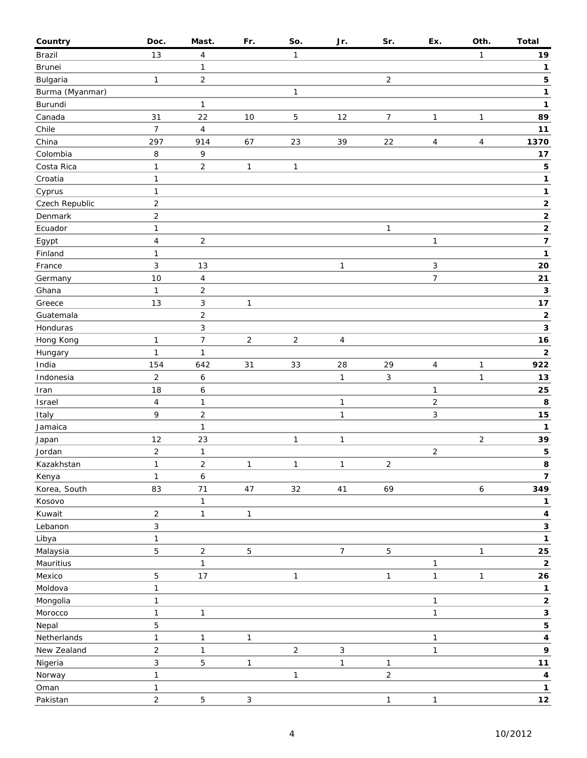| Country         | Doc.                           | Mast.                   | Fr.            | So.            | Jr.                        | Sr.                 | Ex.               | Oth.           | Total                        |
|-----------------|--------------------------------|-------------------------|----------------|----------------|----------------------------|---------------------|-------------------|----------------|------------------------------|
| Brazil          | 13                             | 4                       |                | $\mathbf{1}$   |                            |                     |                   | 1              | 19                           |
| Brunei          |                                | 1                       |                |                |                            |                     |                   |                | $\mathbf{1}$                 |
| Bulgaria        | $\mathbf{1}$                   | $\overline{2}$          |                |                |                            | $\overline{2}$      |                   |                | 5                            |
| Burma (Myanmar) |                                |                         |                | 1              |                            |                     |                   |                | 1                            |
| Burundi         |                                | $\mathbf{1}$            |                |                |                            |                     |                   |                | 1                            |
| Canada          | 31                             | 22                      | 10             | $\overline{5}$ | 12                         | $\overline{7}$      | 1                 | 1              | 89                           |
| Chile           | $\overline{7}$                 | $\overline{\mathbf{4}}$ |                |                |                            |                     |                   |                | $11$                         |
| China           | 297                            | 914                     | 67             | 23             | 39                         | 22                  | 4                 | 4              | 1370                         |
| Colombia        | 8                              | 9                       |                |                |                            |                     |                   |                | $17$                         |
| Costa Rica      | 1                              | $\overline{2}$          | $\mathbf{1}$   | 1              |                            |                     |                   |                | 5                            |
| Croatia         | $\mathbf{1}$                   |                         |                |                |                            |                     |                   |                | 1                            |
| Cyprus          | $\mathbf{1}$                   |                         |                |                |                            |                     |                   |                | 1                            |
| Czech Republic  | $\overline{2}$                 |                         |                |                |                            |                     |                   |                | $\mathbf{2}$                 |
| Denmark         | $\sqrt{2}$                     |                         |                |                |                            |                     |                   |                | $\overline{2}$               |
| Ecuador         | 1                              |                         |                |                |                            | $\mathbf{1}$        |                   |                | $\mathbf{2}$                 |
| Egypt           | $\overline{4}$                 | $\overline{\mathbf{c}}$ |                |                |                            |                     | 1                 |                | $\overline{\mathbf{z}}$      |
| Finland         | $\mathbf{1}$                   |                         |                |                |                            |                     |                   |                | 1                            |
| France          | $\mathfrak{Z}$                 | 13                      |                |                | $\mathbf{1}$               |                     | 3                 |                | 20                           |
| Germany         | 10                             | 4                       |                |                |                            |                     | $\overline{7}$    |                | 21                           |
| Ghana           | $\mathbf{1}$                   | $\overline{2}$          |                |                |                            |                     |                   |                | 3                            |
| Greece          | 13                             | 3                       | 1              |                |                            |                     |                   |                | 17                           |
| Guatemala       |                                | $\overline{2}$          |                |                |                            |                     |                   |                | $\mathbf 2$                  |
| Honduras        |                                | 3                       |                |                |                            |                     |                   |                | 3                            |
| Hong Kong       | 1                              | $\overline{7}$          | $\overline{c}$ | $\mathbf 2$    | $\overline{4}$             |                     |                   |                | 16                           |
| Hungary         | $\mathbf{1}$                   | 1                       |                |                |                            |                     |                   |                | $\mathbf 2$                  |
| India           | 154                            | 642                     | 31             | 33             | 28                         | 29                  | 4                 | $\mathbf{1}$   | 922                          |
| Indonesia       | $\overline{2}$                 | 6                       |                |                | $\mathbf{1}$               | $\mathfrak{Z}$      |                   | $\mathbf{1}$   | 13                           |
| Iran            | 18                             | 6                       |                |                |                            |                     | 1                 |                | 25                           |
| Israel          | 4                              | $\mathbf{1}$            |                |                | $\mathbf{1}$               |                     | $\overline{c}$    |                | 8                            |
| Italy           | 9                              | $\overline{c}$          |                |                | $\mathbf{1}$               |                     | 3                 |                | ${\bf 15}$                   |
| Jamaica         |                                | $\mathbf{1}$            |                |                |                            |                     |                   |                | 1                            |
| Japan           | 12                             | 23                      |                | $\mathbf{1}$   | $\mathbf{1}$               |                     |                   | $\overline{c}$ | 39                           |
| Jordan          | $\overline{2}$                 | $\mathbf{1}$            |                |                |                            |                     | $\overline{2}$    |                | 5                            |
| Kazakhstan      | $\mathbf{1}$                   | $\overline{c}$          | $\mathbf{1}$   | $\mathbf{1}$   | $\mathbf{1}$               | $\overline{2}$      |                   |                | 8                            |
| Kenya           | $\mathbf{1}$                   | 6                       |                |                |                            |                     |                   |                | $\overline{7}$               |
| Korea, South    | 83                             | 71                      | 47             | 32             | $41$                       | 69                  |                   | 6              | 349                          |
| Kosovo          |                                | 1                       |                |                |                            |                     |                   |                | 1                            |
| Kuwait          | $\overline{2}$                 | $\mathbf{1}$            | $\mathbf{1}$   |                |                            |                     |                   |                | 4                            |
| Lebanon         | $\sqrt{3}$                     |                         |                |                |                            |                     |                   |                | 3                            |
| Libya           | $\mathbf{1}$                   |                         |                |                |                            |                     |                   |                | $\mathbf{1}$                 |
| Malaysia        | 5                              | $\overline{c}$          | 5              |                | $\boldsymbol{7}$           | 5                   |                   | $\mathbf{1}$   | 25                           |
| Mauritius       |                                | $\mathbf{1}$            |                |                |                            |                     |                   |                | $\mathbf{2}$                 |
| Mexico          | $\mathbf 5$                    | $17$                    |                | 1              |                            | $\mathbf{1}$        | 1<br>$\mathbf{1}$ | $\mathbf{1}$   | 26                           |
| Moldova         | $\mathbf{1}$                   |                         |                |                |                            |                     |                   |                | $\mathbf{1}$                 |
| Mongolia        | $\mathbf{1}$                   |                         |                |                |                            |                     | 1                 |                | $\mathbf 2$                  |
| Morocco         | $\mathbf{1}$                   | $\mathbf{1}$            |                |                |                            |                     | $\mathbf{1}$      |                | 3                            |
|                 |                                |                         |                |                |                            |                     |                   |                |                              |
| Nepal           | $\mathbf 5$                    |                         |                |                |                            |                     |                   |                | 5                            |
| Netherlands     | 1                              | $\mathbf{1}$            | $\mathbf{1}$   |                |                            |                     | 1                 |                | $\overline{\mathbf{4}}$<br>9 |
| New Zealand     | $\overline{c}$<br>$\mathbf{3}$ | $\mathbf{1}$<br>5       |                | $\overline{2}$ | $\sqrt{3}$<br>$\mathbf{1}$ |                     | $\mathbf{1}$      |                | $11$                         |
| Nigeria         |                                |                         | 1              |                |                            | 1<br>$\overline{2}$ |                   |                |                              |
| Norway          | $\mathbf{1}$                   |                         |                | 1              |                            |                     |                   |                | $\overline{\mathbf{4}}$      |
| Oman            | $\mathbf{1}$                   |                         |                |                |                            |                     |                   |                | $\mathbf{1}$                 |
| Pakistan        | $\overline{2}$                 | 5                       | 3              |                |                            | $\mathbf{1}$        | $\mathbf{1}$      |                | 12                           |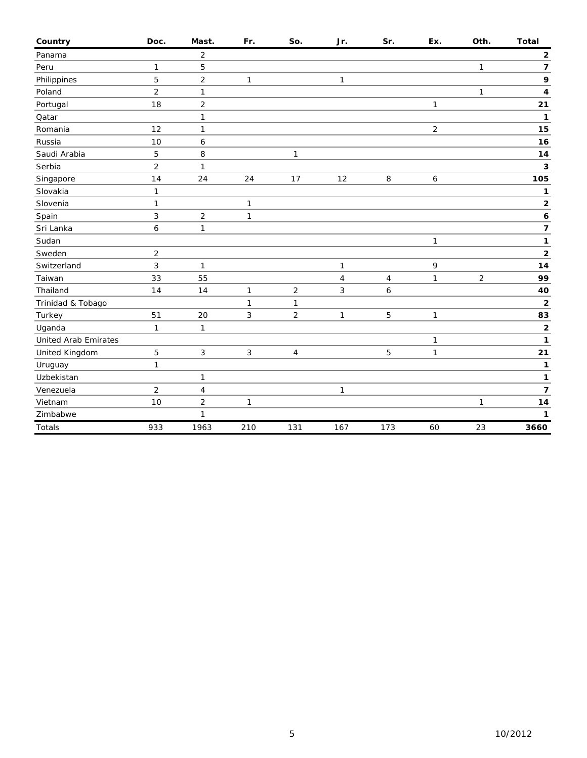| Country                     | Doc.           | Mast.                   | Fr.          | So.            | Jr.            | Sr.            | Ex.            | Oth.         | <b>Total</b>            |
|-----------------------------|----------------|-------------------------|--------------|----------------|----------------|----------------|----------------|--------------|-------------------------|
| Panama                      |                | $\overline{2}$          |              |                |                |                |                |              | $\mathbf{2}$            |
| Peru                        | 1              | 5                       |              |                |                |                |                | $\mathbf{1}$ | $\overline{\mathbf{z}}$ |
| Philippines                 | 5              | $\overline{c}$          | 1            |                | $\mathbf{1}$   |                |                |              | 9                       |
| Poland                      | $\overline{2}$ | $\mathbf{1}$            |              |                |                |                |                | 1            | 4                       |
| Portugal                    | 18             | $\mathbf 2$             |              |                |                |                | $\mathbf{1}$   |              | 21                      |
| Qatar                       |                | $\mathbf{1}$            |              |                |                |                |                |              | 1                       |
| Romania                     | 12             | $\mathbf{1}$            |              |                |                |                | $\overline{2}$ |              | 15                      |
| Russia                      | 10             | 6                       |              |                |                |                |                |              | 16                      |
| Saudi Arabia                | 5              | 8                       |              | 1              |                |                |                |              | 14                      |
| Serbia                      | $\overline{2}$ | $\mathbf{1}$            |              |                |                |                |                |              | 3                       |
| Singapore                   | 14             | 24                      | 24           | 17             | 12             | 8              | 6              |              | 105                     |
| Slovakia                    | 1              |                         |              |                |                |                |                |              | 1                       |
| Slovenia                    | $\mathbf{1}$   |                         | $\mathbf{1}$ |                |                |                |                |              | $\mathbf 2$             |
| Spain                       | 3              | $\overline{2}$          | $\mathbf{1}$ |                |                |                |                |              | 6                       |
| Sri Lanka                   | 6              | $\mathbf{1}$            |              |                |                |                |                |              | $\overline{\mathbf{z}}$ |
| Sudan                       |                |                         |              |                |                |                | $\mathbf{1}$   |              | $\mathbf{1}$            |
| Sweden                      | $\overline{2}$ |                         |              |                |                |                |                |              | $\overline{\mathbf{2}}$ |
| Switzerland                 | 3              | $\mathbf{1}$            |              |                | $\mathbf{1}$   |                | 9              |              | 14                      |
| Taiwan                      | 33             | 55                      |              |                | $\overline{4}$ | $\overline{4}$ | $\mathbf{1}$   | 2            | 99                      |
| Thailand                    | 14             | 14                      | $\mathbf{1}$ | $\overline{2}$ | 3              | 6              |                |              | 40                      |
| Trinidad & Tobago           |                |                         | $\mathbf{1}$ | 1              |                |                |                |              | $\mathbf{2}$            |
| Turkey                      | 51             | 20                      | 3            | $\overline{2}$ | $\mathbf{1}$   | 5              | $\mathbf{1}$   |              | 83                      |
| Uganda                      | $\mathbf{1}$   | $\mathbf{1}$            |              |                |                |                |                |              | $\overline{\mathbf{2}}$ |
| <b>United Arab Emirates</b> |                |                         |              |                |                |                | 1              |              | 1                       |
| United Kingdom              | 5              | $\sqrt{3}$              | 3            | 4              |                | 5              | $\mathbf{1}$   |              | 21                      |
| Uruguay                     | $\mathbf{1}$   |                         |              |                |                |                |                |              | $\mathbf{1}$            |
| Uzbekistan                  |                | $\mathbf{1}$            |              |                |                |                |                |              | 1                       |
| Venezuela                   | $\overline{2}$ | $\overline{\mathbf{4}}$ |              |                | 1              |                |                |              | $\overline{\mathbf{z}}$ |
| Vietnam                     | 10             | $\overline{2}$          | $\mathbf{1}$ |                |                |                |                | $\mathbf{1}$ | 14                      |
| Zimbabwe                    |                | 1                       |              |                |                |                |                |              | 1                       |
| Totals                      | 933            | 1963                    | 210          | 131            | 167            | 173            | 60             | 23           | 3660                    |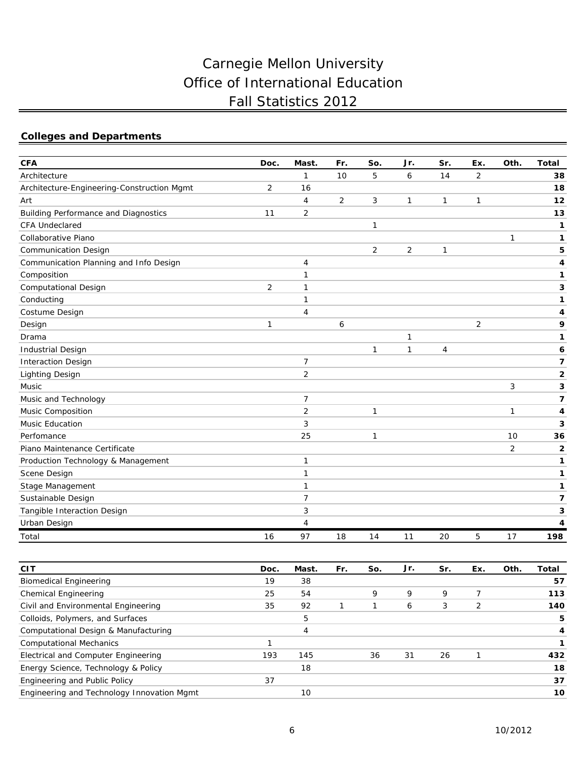# Carnegie Mellon University Office of International Education Fall Statistics 2012

# **Colleges and Departments**

| <b>CFA</b>                                  | Doc. | Mast.          | Fr. | So.            | Jr.            | Sr. | Ex.            | Oth.           | <b>Total</b> |
|---------------------------------------------|------|----------------|-----|----------------|----------------|-----|----------------|----------------|--------------|
| Architecture                                |      | $\mathbf{1}$   | 10  | 5              | 6              | 14  | $\overline{2}$ |                | 38           |
| Architecture-Engineering-Construction Mgmt  | 2    | 16             |     |                |                |     |                |                | 18           |
| Art                                         |      | 4              | 2   | 3              | 1              | 1   | $\mathbf{1}$   |                | 12           |
| <b>Building Performance and Diagnostics</b> | 11   | 2              |     |                |                |     |                |                | 13           |
| <b>CFA Undeclared</b>                       |      |                |     | $\mathbf{1}$   |                |     |                |                | 1            |
| Collaborative Piano                         |      |                |     |                |                |     |                | 1              | 1            |
| <b>Communication Design</b>                 |      |                |     | $\overline{2}$ | $\overline{2}$ | 1   |                |                | 5            |
| Communication Planning and Info Design      |      | 4              |     |                |                |     |                |                | 4            |
| Composition                                 |      | 1              |     |                |                |     |                |                | 1            |
| <b>Computational Design</b>                 | 2    | 1              |     |                |                |     |                |                | 3            |
| Conducting                                  |      | 1              |     |                |                |     |                |                | 1            |
| Costume Design                              |      | 4              |     |                |                |     |                |                | 4            |
| Design                                      | 1    |                | 6   |                |                |     | $\overline{2}$ |                | 9            |
| Drama                                       |      |                |     |                | 1              |     |                |                | 1            |
| <b>Industrial Design</b>                    |      |                |     | $\mathbf{1}$   | $\mathbf{1}$   | 4   |                |                | 6            |
| <b>Interaction Design</b>                   |      | $\overline{7}$ |     |                |                |     |                |                | 7            |
| <b>Lighting Design</b>                      |      | $\overline{2}$ |     |                |                |     |                |                | $\mathbf{2}$ |
| Music                                       |      |                |     |                |                |     |                | 3              | 3            |
| Music and Technology                        |      | $\overline{7}$ |     |                |                |     |                |                | 7            |
| Music Composition                           |      | 2              |     | $\mathbf{1}$   |                |     |                | $\mathbf{1}$   | 4            |
| Music Education                             |      | 3              |     |                |                |     |                |                | 3            |
| Perfomance                                  |      | 25             |     | $\mathbf{1}$   |                |     |                | 10             | 36           |
| Piano Maintenance Certificate               |      |                |     |                |                |     |                | $\overline{2}$ | $\mathbf{2}$ |
| Production Technology & Management          |      | 1              |     |                |                |     |                |                | 1            |
| Scene Design                                |      | 1              |     |                |                |     |                |                | 1            |
| Stage Management                            |      | 1              |     |                |                |     |                |                | 1            |
| Sustainable Design                          |      | $\overline{7}$ |     |                |                |     |                |                | 7            |
| Tangible Interaction Design                 |      | 3              |     |                |                |     |                |                | 3            |
| Urban Design                                |      | 4              |     |                |                |     |                |                | 4            |
| Total                                       | 16   | 97             | 18  | 14             | 11             | 20  | 5              | 17             | 198          |

| <b>CIT</b>                                 | Doc. | Mast. | Fr. | So. | Jr. | Sr. | Ex. | Oth. | Total |
|--------------------------------------------|------|-------|-----|-----|-----|-----|-----|------|-------|
| <b>Biomedical Engineering</b>              | 19   | 38    |     |     |     |     |     |      | 57    |
| Chemical Engineering                       | 25   | 54    |     | 9   | 9   | 9   |     |      | 113   |
| Civil and Environmental Engineering        | 35   | 92    |     |     | 6   | 3   | 2   |      | 140   |
| Colloids, Polymers, and Surfaces           |      | 5     |     |     |     |     |     |      | 5     |
| Computational Design & Manufacturing       |      |       |     |     |     |     |     |      | 4     |
| <b>Computational Mechanics</b>             |      |       |     |     |     |     |     |      |       |
| Electrical and Computer Engineering        | 193  | 145   |     | 36  | 31  | 26  |     |      | 432   |
| Energy Science, Technology & Policy        |      | 18    |     |     |     |     |     |      | 18    |
| Engineering and Public Policy              | 37   |       |     |     |     |     |     |      | 37    |
| Engineering and Technology Innovation Mgmt |      | 10    |     |     |     |     |     |      | 10    |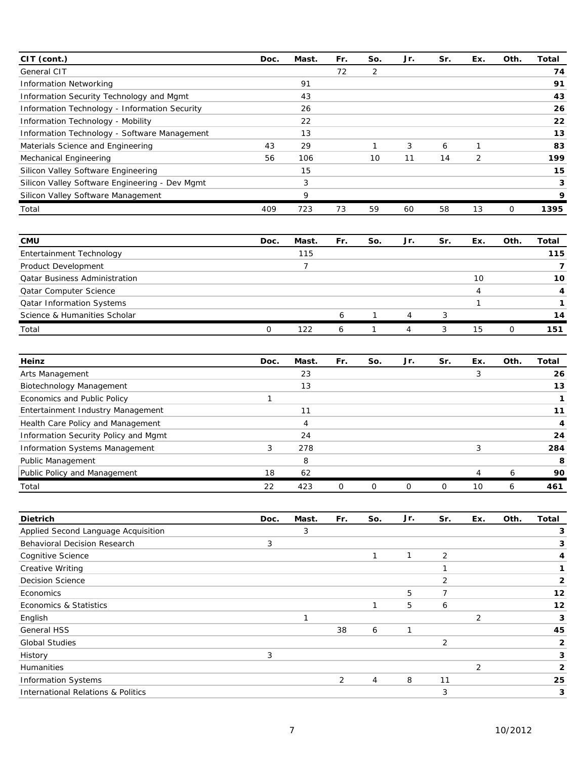| CIT (cont.)                                    | Doc. | Mast. | Fr. | So. | Jr. | Sr. | Ex. | Oth. | Total |
|------------------------------------------------|------|-------|-----|-----|-----|-----|-----|------|-------|
| General CIT                                    |      |       | 72  | 2   |     |     |     |      | 74    |
| <b>Information Networking</b>                  |      | 91    |     |     |     |     |     |      | 91    |
| Information Security Technology and Mgmt       |      | 43    |     |     |     |     |     |      | 43    |
| Information Technology - Information Security  |      | 26    |     |     |     |     |     |      | 26    |
| Information Technology - Mobility              |      | 22    |     |     |     |     |     |      | 22    |
| Information Technology - Software Management   |      | 13    |     |     |     |     |     |      | 13    |
| Materials Science and Engineering              | 43   | 29    |     |     | 3   | 6   |     |      | 83    |
| Mechanical Engineering                         | 56   | 106   |     | 10  | 11  | 14  | 2   |      | 199   |
| Silicon Valley Software Engineering            |      | 15    |     |     |     |     |     |      | 15    |
| Silicon Valley Software Engineering - Dev Mgmt |      | 3     |     |     |     |     |     |      | 3     |
| Silicon Valley Software Management             |      | 9     |     |     |     |     |     |      | 9     |
| Total                                          | 409  | 723   | 73  | 59  | 60  | 58  | 13  | 0    | 1395  |

| <b>CMU</b>                           | Doc. | Mast. | Fr. | So. | Jr. | Sr. | Ex. | Oth. | Total |
|--------------------------------------|------|-------|-----|-----|-----|-----|-----|------|-------|
| Entertainment Technology             |      | 115   |     |     |     |     |     |      | 115   |
| Product Development                  |      |       |     |     |     |     |     |      |       |
| <b>Qatar Business Administration</b> |      |       |     |     |     |     | 10  |      | 10    |
| <b>Qatar Computer Science</b>        |      |       |     |     |     |     | 4   |      |       |
| <b>Qatar Information Systems</b>     |      |       |     |     |     |     |     |      |       |
| Science & Humanities Scholar         |      |       | h   |     |     |     |     |      | 14    |
| Total                                |      | 122   |     |     |     | 3   | 15  | 0    | 151   |

| Heinz                                | Doc. | Mast. | Fr. | So. | Jr. | Sr. | Ex. | Oth. | Total |
|--------------------------------------|------|-------|-----|-----|-----|-----|-----|------|-------|
| Arts Management                      |      | 23    |     |     |     |     |     |      | 26    |
| Biotechnology Management             |      | 13    |     |     |     |     |     |      | 13    |
| Economics and Public Policy          |      |       |     |     |     |     |     |      |       |
| Entertainment Industry Management    |      | 11    |     |     |     |     |     |      | 11    |
| Health Care Policy and Management    |      | 4     |     |     |     |     |     |      |       |
| Information Security Policy and Mgmt |      | 24    |     |     |     |     |     |      | 24    |
| Information Systems Management       | 3    | 278   |     |     |     |     | 3   |      | 284   |
| Public Management                    |      | 8     |     |     |     |     |     |      | 8     |
| Public Policy and Management         | 18   | 62    |     |     |     |     | 4   | h    | 90    |
| Total                                | 22   | 423   |     |     |     |     | 10  | Ô    | 461   |

| <b>Dietrich</b>                     | Doc. | Mast. | Fr. | So.           | Jr. | Sr.            | Ex. | Oth. | Total |
|-------------------------------------|------|-------|-----|---------------|-----|----------------|-----|------|-------|
| Applied Second Language Acquisition |      | 3     |     |               |     |                |     |      | 3     |
| <b>Behavioral Decision Research</b> | 3    |       |     |               |     |                |     |      | 3     |
| Cognitive Science                   |      |       |     | 1             |     | $\overline{2}$ |     |      | 4     |
| <b>Creative Writing</b>             |      |       |     |               |     |                |     |      | 1     |
| <b>Decision Science</b>             |      |       |     |               |     | 2              |     |      | 2     |
| Economics                           |      |       |     |               | 5   | 7              |     |      | 12    |
| Economics & Statistics              |      |       |     | $\mathcal{I}$ | 5   | 6              |     |      | 12    |
| English                             |      |       |     |               |     |                | 2   |      | 3     |
| <b>General HSS</b>                  |      |       | 38  | 6             | 1   |                |     |      | 45    |
| <b>Global Studies</b>               |      |       |     |               |     | 2              |     |      | 2     |
| History                             | 3    |       |     |               |     |                |     |      | 3     |
| <b>Humanities</b>                   |      |       |     |               |     |                | 2   |      | 2     |
| <b>Information Systems</b>          |      |       | 2   | 4             | 8   | 11             |     |      | 25    |
| International Relations & Politics  |      |       |     |               |     | 3              |     |      | 3     |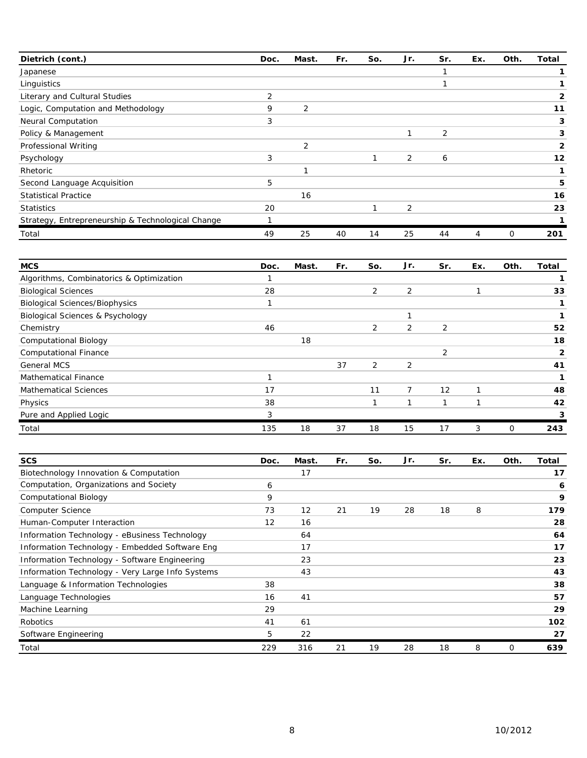| Dietrich (cont.)                                  | Doc. | Mast. | Fr. | So. | Jr.            | Sr.            | Ex. | Oth. | Total |
|---------------------------------------------------|------|-------|-----|-----|----------------|----------------|-----|------|-------|
| Japanese                                          |      |       |     |     |                |                |     |      |       |
| Linguistics                                       |      |       |     |     |                |                |     |      |       |
| Literary and Cultural Studies                     | 2    |       |     |     |                |                |     |      |       |
| Logic, Computation and Methodology                | 9    | 2     |     |     |                |                |     |      | 11    |
| Neural Computation                                | 3    |       |     |     |                |                |     |      | 3     |
| Policy & Management                               |      |       |     |     |                | $\overline{2}$ |     |      | 3     |
| Professional Writing                              |      | 2     |     |     |                |                |     |      | 2     |
| Psychology                                        | 3    |       |     |     | 2              | 6              |     |      | 12    |
| Rhetoric                                          |      |       |     |     |                |                |     |      |       |
| Second Language Acquisition                       | 5    |       |     |     |                |                |     |      | 5     |
| <b>Statistical Practice</b>                       |      | 16    |     |     |                |                |     |      | 16    |
| <b>Statistics</b>                                 | 20   |       |     |     | $\overline{2}$ |                |     |      | 23    |
| Strategy, Entrepreneurship & Technological Change |      |       |     |     |                |                |     |      |       |
| Total                                             | 49   | 25    | 40  | 14  | 25             | 44             | 4   | 0    | 201   |

| <b>MCS</b>                                  | Doc. | Mast. | Fr. | So.            | Jr.            | Sr.            | Ex. | Oth. | <b>Total</b>   |
|---------------------------------------------|------|-------|-----|----------------|----------------|----------------|-----|------|----------------|
| Algorithms, Combinatorics & Optimization    |      |       |     |                |                |                |     |      |                |
| <b>Biological Sciences</b>                  | 28   |       |     | $\overline{2}$ | $\overline{2}$ |                |     |      | 33             |
| <b>Biological Sciences/Biophysics</b>       |      |       |     |                |                |                |     |      |                |
| <b>Biological Sciences &amp; Psychology</b> |      |       |     |                |                |                |     |      |                |
| Chemistry                                   | 46   |       |     | $\overline{2}$ | 2              | $\overline{2}$ |     |      | 52             |
| <b>Computational Biology</b>                |      | 18    |     |                |                |                |     |      | 18             |
| <b>Computational Finance</b>                |      |       |     |                |                | 2              |     |      | $\overline{2}$ |
| <b>General MCS</b>                          |      |       | 37  | $\overline{2}$ | $\overline{2}$ |                |     |      | 41             |
| <b>Mathematical Finance</b>                 |      |       |     |                |                |                |     |      |                |
| <b>Mathematical Sciences</b>                | 17   |       |     | 11             | $\overline{7}$ | 12             |     |      | 48             |
| Physics                                     | 38   |       |     |                |                |                |     |      | 42             |
| Pure and Applied Logic                      | 3    |       |     |                |                |                |     |      |                |
| Total                                       | 135  | 18    | 37  | 18             | 15             | 17             | 3   | 0    | 243            |

| <b>SCS</b>                                       | Doc. | Mast. | Fr. | So. | Jr. | Sr. | Ex. | Oth. | Total |
|--------------------------------------------------|------|-------|-----|-----|-----|-----|-----|------|-------|
| Biotechnology Innovation & Computation           |      | 17    |     |     |     |     |     |      | 17    |
| Computation, Organizations and Society           | 6    |       |     |     |     |     |     |      | 6     |
| <b>Computational Biology</b>                     | 9    |       |     |     |     |     |     |      | 9     |
| Computer Science                                 | 73   | 12    | 21  | 19  | 28  | 18  | 8   |      | 179   |
| Human-Computer Interaction                       | 12   | 16    |     |     |     |     |     |      | 28    |
| Information Technology - eBusiness Technology    |      | 64    |     |     |     |     |     |      | 64    |
| Information Technology - Embedded Software Eng   |      | 17    |     |     |     |     |     |      | 17    |
| Information Technology - Software Engineering    |      | 23    |     |     |     |     |     |      | 23    |
| Information Technology - Very Large Info Systems |      | 43    |     |     |     |     |     |      | 43    |
| Language & Information Technologies              | 38   |       |     |     |     |     |     |      | 38    |
| Language Technologies                            | 16   | 41    |     |     |     |     |     |      | 57    |
| Machine Learning                                 | 29   |       |     |     |     |     |     |      | 29    |
| Robotics                                         | 41   | 61    |     |     |     |     |     |      | 102   |
| Software Engineering                             | 5    | 22    |     |     |     |     |     |      | 27    |
| Total                                            | 229  | 316   | 21  | 19  | 28  | 18  | 8   | 0    | 639   |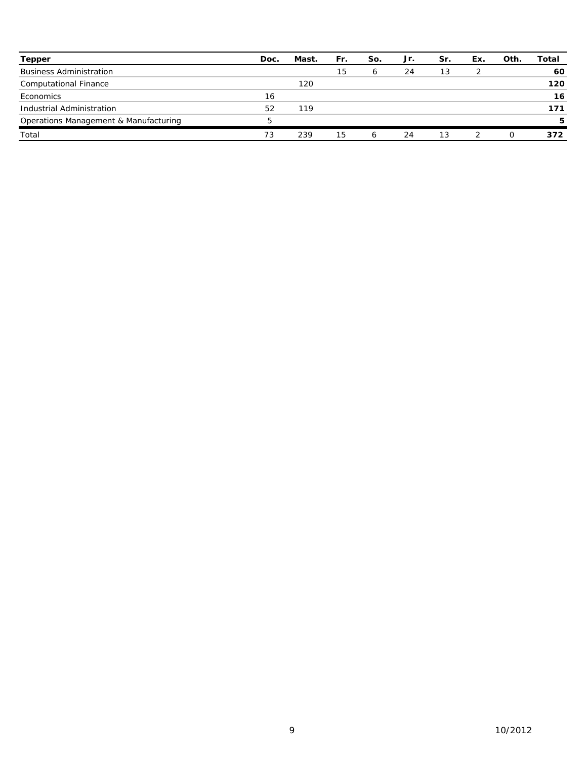| <b>Tepper</b>                         | Doc. | Mast. | Fr. | So. | Jr. | Sr. | Ex. | Oth. | Total |
|---------------------------------------|------|-------|-----|-----|-----|-----|-----|------|-------|
| <b>Business Administration</b>        |      |       | 15  | 6   | 24  | 13  |     |      | 60    |
| <b>Computational Finance</b>          |      | 120   |     |     |     |     |     |      | 120   |
| Economics                             | 16   |       |     |     |     |     |     |      | 16    |
| Industrial Administration             | 52   | 119   |     |     |     |     |     |      | 171   |
| Operations Management & Manufacturing | 5    |       |     |     |     |     |     |      | 5     |
| Total                                 | 73   | 239   | 15  | 6   | 24  | 13  |     |      | 372   |